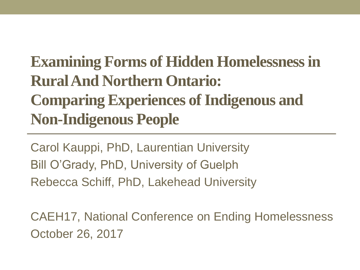### **Examining Forms of Hidden Homelessness in Rural And Northern Ontario: Comparing Experiences of Indigenous and Non-Indigenous People**

Carol Kauppi, PhD, Laurentian University Bill O'Grady, PhD, University of Guelph Rebecca Schiff, PhD, Lakehead University

CAEH17, National Conference on Ending Homelessness October 26, 2017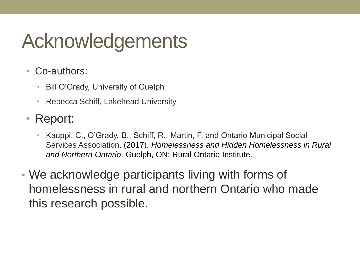# Acknowledgements

- Co-authors:
	- Bill O'Grady, University of Guelph
	- Rebecca Schiff, Lakehead University
- Report:
	- Kauppi, C., O'Grady, B., Schiff, R., Martin, F. and Ontario Municipal Social Services Association. (2017). *Homelessness and Hidden Homelessness in Rural and Northern Ontario*. Guelph, ON: Rural Ontario Institute.
- We acknowledge participants living with forms of homelessness in rural and northern Ontario who made this research possible.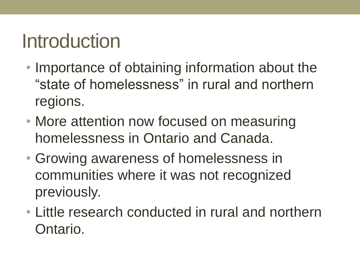# Introduction

- Importance of obtaining information about the "state of homelessness" in rural and northern regions.
- More attention now focused on measuring homelessness in Ontario and Canada.
- Growing awareness of homelessness in communities where it was not recognized previously.
- Little research conducted in rural and northern Ontario.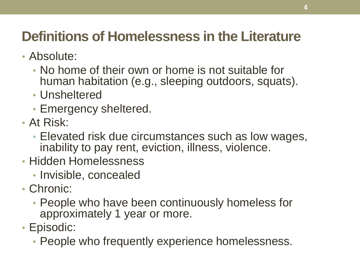### **Definitions of Homelessness in the Literature**

- Absolute:
	- No home of their own or home is not suitable for human habitation (e.g., sleeping outdoors, squats).
	- Unsheltered
	- Emergency sheltered.
- At Risk:
	- Elevated risk due circumstances such as low wages, inability to pay rent, eviction, illness, violence.
- Hidden Homelessness
	- Invisible, concealed
- Chronic:
	- People who have been continuously homeless for approximately 1 year or more.
- Episodic:
	- People who frequently experience homelessness.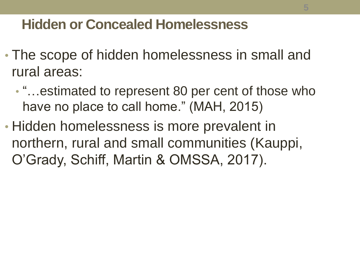### **Hidden or Concealed Homelessness**

- The scope of hidden homelessness in small and rural areas:
	- "…estimated to represent 80 per cent of those who have no place to call home." (MAH, 2015)
- Hidden homelessness is more prevalent in northern, rural and small communities (Kauppi, O'Grady, Schiff, Martin & OMSSA, 2017).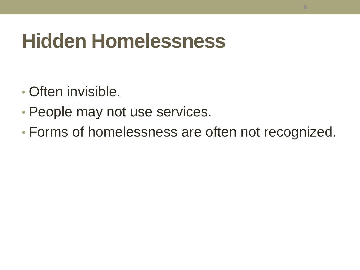# **Hidden Homelessness**

- Often invisible.
- People may not use services.
- Forms of homelessness are often not recognized.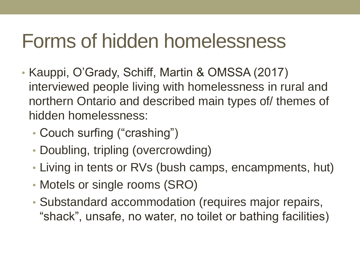# Forms of hidden homelessness

- Kauppi, O'Grady, Schiff, Martin & OMSSA (2017) interviewed people living with homelessness in rural and northern Ontario and described main types of/ themes of hidden homelessness:
	- Couch surfing ("crashing")
	- Doubling, tripling (overcrowding)
	- Living in tents or RVs (bush camps, encampments, hut)
	- Motels or single rooms (SRO)
	- Substandard accommodation (requires major repairs, "shack", unsafe, no water, no toilet or bathing facilities)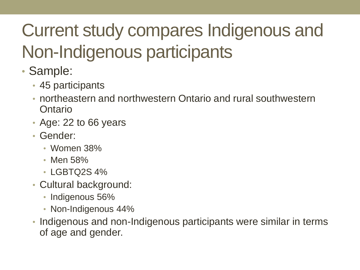# Current study compares Indigenous and Non-Indigenous participants

- Sample:
	- 45 participants
	- northeastern and northwestern Ontario and rural southwestern Ontario
	- Age: 22 to 66 years
	- Gender:
		- Women 38%
		- Men 58%
		- LGBTQ2S 4%
	- Cultural background:
		- Indigenous 56%
		- Non-Indigenous 44%
	- Indigenous and non-Indigenous participants were similar in terms of age and gender.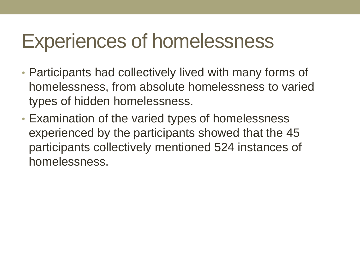## Experiences of homelessness

- Participants had collectively lived with many forms of homelessness, from absolute homelessness to varied types of hidden homelessness.
- Examination of the varied types of homelessness experienced by the participants showed that the 45 participants collectively mentioned 524 instances of homelessness.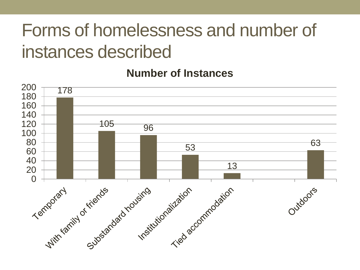### Forms of homelessness and number of instances described

#### **Number of Instances**

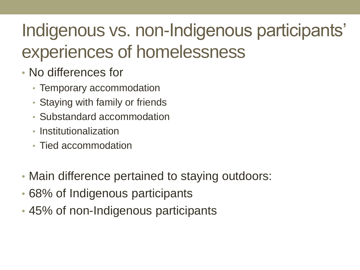## Indigenous vs. non-Indigenous participants' experiences of homelessness

- No differences for
	- Temporary accommodation
	- Staying with family or friends
	- Substandard accommodation
	- Institutionalization
	- Tied accommodation
- Main difference pertained to staying outdoors:
- 68% of Indigenous participants
- 45% of non-Indigenous participants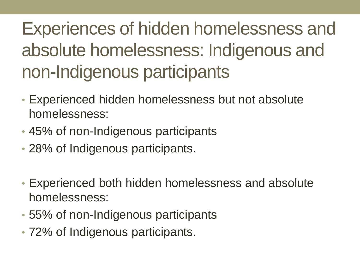Experiences of hidden homelessness and absolute homelessness: Indigenous and non-Indigenous participants

- Experienced hidden homelessness but not absolute homelessness:
- 45% of non-Indigenous participants
- 28% of Indigenous participants.
- Experienced both hidden homelessness and absolute homelessness:
- 55% of non-Indigenous participants
- 72% of Indigenous participants.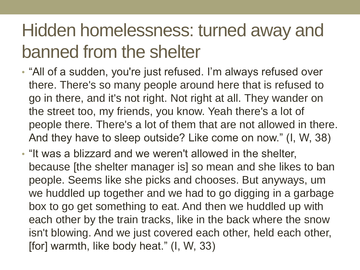### Hidden homelessness: turned away and banned from the shelter

- "All of a sudden, you're just refused. I'm always refused over there. There's so many people around here that is refused to go in there, and it's not right. Not right at all. They wander on the street too, my friends, you know. Yeah there's a lot of people there. There's a lot of them that are not allowed in there. And they have to sleep outside? Like come on now." (I, W, 38)
- "It was a blizzard and we weren't allowed in the shelter, because [the shelter manager is] so mean and she likes to ban people. Seems like she picks and chooses. But anyways, um we huddled up together and we had to go digging in a garbage box to go get something to eat. And then we huddled up with each other by the train tracks, like in the back where the snow isn't blowing. And we just covered each other, held each other, [for] warmth, like body heat." (I, W, 33)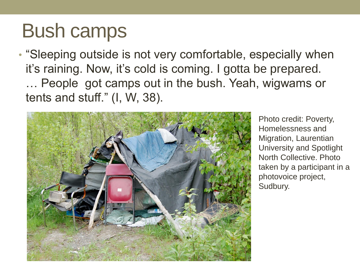# Bush camps

• "Sleeping outside is not very comfortable, especially when it's raining. Now, it's cold is coming. I gotta be prepared. … People got camps out in the bush. Yeah, wigwams or tents and stuff." (I, W, 38).



Photo credit: Poverty, Homelessness and Migration, Laurentian University and Spotlight North Collective. Photo taken by a participant in a photovoice project, Sudbury.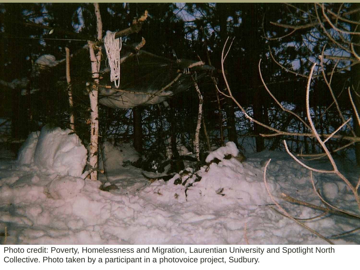

Photo credit: Poverty, Homelessness and Migration, Laurentian University and Spotlight North Collective. Photo taken by a participant in a photovoice project, Sudbury.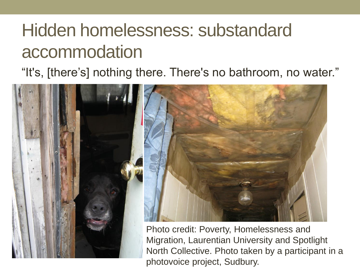### Hidden homelessness: substandard accommodation

### "It's, [there's] nothing there. There's no bathroom, no water."

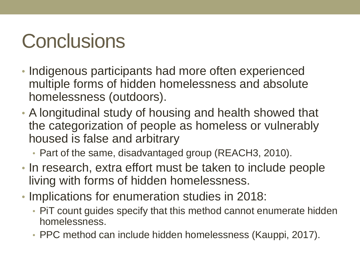# **Conclusions**

- Indigenous participants had more often experienced multiple forms of hidden homelessness and absolute homelessness (outdoors).
- A longitudinal study of housing and health showed that the categorization of people as homeless or vulnerably housed is false and arbitrary
	- Part of the same, disadvantaged group (REACH3, 2010).
- In research, extra effort must be taken to include people living with forms of hidden homelessness.
- Implications for enumeration studies in 2018:
	- PiT count guides specify that this method cannot enumerate hidden homelessness.
	- PPC method can include hidden homelessness (Kauppi, 2017).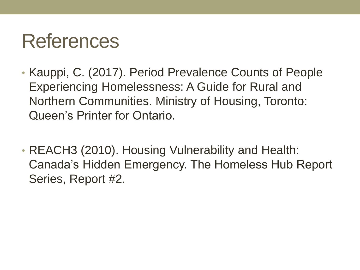# References

- Kauppi, C. (2017). Period Prevalence Counts of People Experiencing Homelessness: A Guide for Rural and Northern Communities. Ministry of Housing, Toronto: Queen's Printer for Ontario.
- REACH3 (2010). Housing Vulnerability and Health: Canada's Hidden Emergency. The Homeless Hub Report Series, Report #2.